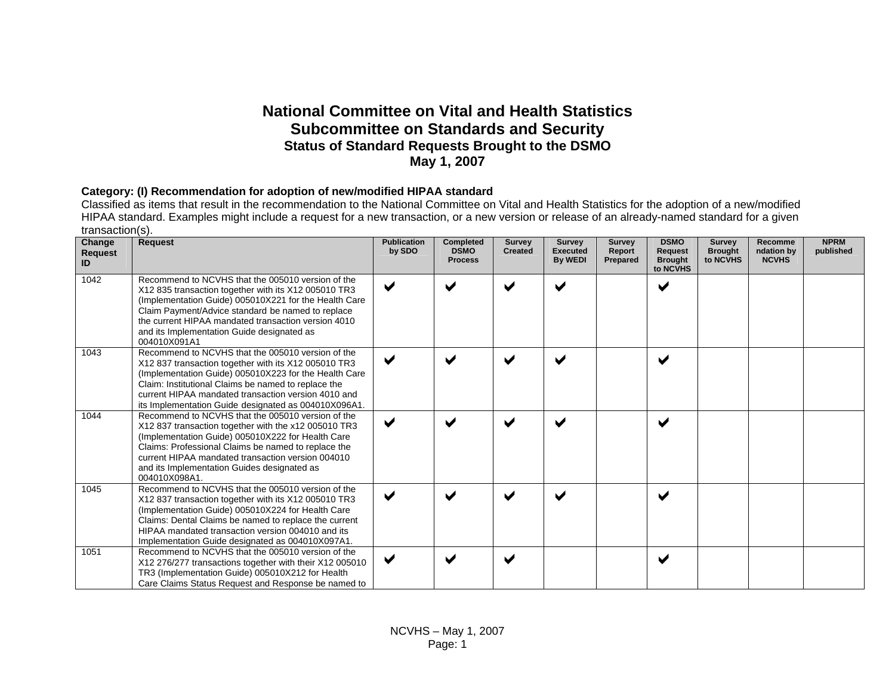## **National Committee on Vital and Health Statistics Subcommittee on Standards and Security Status of Standard Requests Brought to the DSMO May 1, 2007**

## **Category: (I) Recommendation for adoption of new/modified HIPAA standard**

Classified as items that result in the recommendation to the National Committee on Vital and Health Statistics for the adoption of a new/modified HIPAA standard. Examples might include a request for a new transaction, or a new version or release of an already-named standard for a given transaction(s).

| Change<br><b>Request</b><br>ID | <b>Request</b>                                                                                                                                                                                                                                                                                                                               | <b>Publication</b><br>by SDO | <b>Completed</b><br><b>DSMO</b><br><b>Process</b> | <b>Survey</b><br><b>Created</b> | <b>Survey</b><br><b>Executed</b><br>By WEDI | <b>Survey</b><br>Report<br>Prepared | <b>DSMO</b><br>Request<br><b>Brought</b> | <b>Survey</b><br><b>Brought</b><br>to NCVHS | <b>Recomme</b><br>ndation by<br><b>NCVHS</b> | <b>NPRM</b><br>published |
|--------------------------------|----------------------------------------------------------------------------------------------------------------------------------------------------------------------------------------------------------------------------------------------------------------------------------------------------------------------------------------------|------------------------------|---------------------------------------------------|---------------------------------|---------------------------------------------|-------------------------------------|------------------------------------------|---------------------------------------------|----------------------------------------------|--------------------------|
| 1042                           | Recommend to NCVHS that the 005010 version of the<br>X12 835 transaction together with its X12 005010 TR3<br>(Implementation Guide) 005010X221 for the Health Care<br>Claim Payment/Advice standard be named to replace<br>the current HIPAA mandated transaction version 4010<br>and its Implementation Guide designated as<br>004010X091A1 | $\blacktriangledown$         | ✔                                                 | ✔                               |                                             |                                     | to NCVHS<br>$\blacktriangleright$        |                                             |                                              |                          |
| 1043                           | Recommend to NCVHS that the 005010 version of the<br>X12 837 transaction together with its X12 005010 TR3<br>(Implementation Guide) 005010X223 for the Health Care<br>Claim: Institutional Claims be named to replace the<br>current HIPAA mandated transaction version 4010 and<br>its Implementation Guide designated as 004010X096A1.     | $\blacktriangleright$        | ✔                                                 | ✔                               |                                             |                                     | $\blacktriangledown$                     |                                             |                                              |                          |
| 1044                           | Recommend to NCVHS that the 005010 version of the<br>X12 837 transaction together with the x12 005010 TR3<br>(Implementation Guide) 005010X222 for Health Care<br>Claims: Professional Claims be named to replace the<br>current HIPAA mandated transaction version 004010<br>and its Implementation Guides designated as<br>004010X098A1.   | ✔                            | ✔                                                 | ✔                               |                                             |                                     | $\blacktriangleright$                    |                                             |                                              |                          |
| 1045                           | Recommend to NCVHS that the 005010 version of the<br>X12 837 transaction together with its X12 005010 TR3<br>(Implementation Guide) 005010X224 for Health Care<br>Claims: Dental Claims be named to replace the current<br>HIPAA mandated transaction version 004010 and its<br>Implementation Guide designated as 004010X097A1.             | ✔                            | ✔                                                 | ✔                               |                                             |                                     | ✔                                        |                                             |                                              |                          |
| 1051                           | Recommend to NCVHS that the 005010 version of the<br>X12 276/277 transactions together with their X12 005010<br>TR3 (Implementation Guide) 005010X212 for Health<br>Care Claims Status Request and Response be named to                                                                                                                      | $\blacktriangledown$         | $\blacktriangleright$                             | ✔                               |                                             |                                     | $\blacktriangleright$                    |                                             |                                              |                          |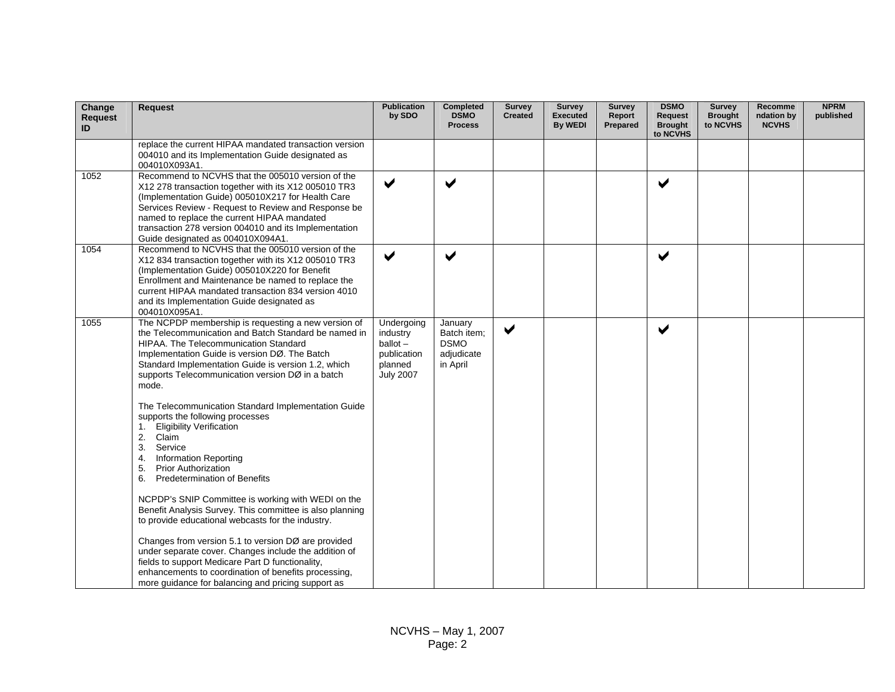| Change<br><b>Request</b><br>ID | <b>Request</b>                                                                                                                                                                                                                                                                                                                                                     | <b>Publication</b><br>by SDO                                                       | Completed<br><b>DSMO</b><br><b>Process</b>                      | <b>Survey</b><br><b>Created</b> | <b>Survey</b><br><b>Executed</b><br>By WEDI | <b>Survey</b><br>Report<br>Prepared | <b>DSMO</b><br><b>Request</b><br><b>Brought</b><br>to NCVHS | <b>Survey</b><br><b>Brought</b><br>to NCVHS | <b>Recomme</b><br>ndation by<br><b>NCVHS</b> | <b>NPRM</b><br>published |
|--------------------------------|--------------------------------------------------------------------------------------------------------------------------------------------------------------------------------------------------------------------------------------------------------------------------------------------------------------------------------------------------------------------|------------------------------------------------------------------------------------|-----------------------------------------------------------------|---------------------------------|---------------------------------------------|-------------------------------------|-------------------------------------------------------------|---------------------------------------------|----------------------------------------------|--------------------------|
|                                | replace the current HIPAA mandated transaction version<br>004010 and its Implementation Guide designated as<br>004010X093A1.                                                                                                                                                                                                                                       |                                                                                    |                                                                 |                                 |                                             |                                     |                                                             |                                             |                                              |                          |
| 1052                           | Recommend to NCVHS that the 005010 version of the<br>X12 278 transaction together with its X12 005010 TR3<br>(Implementation Guide) 005010X217 for Health Care<br>Services Review - Request to Review and Response be<br>named to replace the current HIPAA mandated<br>transaction 278 version 004010 and its Implementation<br>Guide designated as 004010X094A1. | $\blacktriangledown$                                                               | $\blacktriangledown$                                            |                                 |                                             |                                     | $\blacktriangledown$                                        |                                             |                                              |                          |
| 1054                           | Recommend to NCVHS that the 005010 version of the<br>X12 834 transaction together with its X12 005010 TR3<br>(Implementation Guide) 005010X220 for Benefit<br>Enrollment and Maintenance be named to replace the<br>current HIPAA mandated transaction 834 version 4010<br>and its Implementation Guide designated as<br>004010X095A1.                             | $\blacktriangledown$                                                               | $\blacktriangledown$                                            |                                 |                                             |                                     | $\blacktriangledown$                                        |                                             |                                              |                          |
| 1055                           | The NCPDP membership is requesting a new version of<br>the Telecommunication and Batch Standard be named in<br>HIPAA. The Telecommunication Standard<br>Implementation Guide is version DØ. The Batch<br>Standard Implementation Guide is version 1.2, which<br>supports Telecommunication version DØ in a batch<br>mode.                                          | Undergoing<br>industry<br>$ballot -$<br>publication<br>planned<br><b>July 2007</b> | January<br>Batch item;<br><b>DSMO</b><br>adjudicate<br>in April | ✔                               |                                             |                                     | ✔                                                           |                                             |                                              |                          |
|                                | The Telecommunication Standard Implementation Guide<br>supports the following processes<br>1. Eligibility Verification<br>2. Claim<br>Service<br>3.<br><b>Information Reporting</b><br>4.<br><b>Prior Authorization</b><br>5.<br><b>Predetermination of Benefits</b><br>6.                                                                                         |                                                                                    |                                                                 |                                 |                                             |                                     |                                                             |                                             |                                              |                          |
|                                | NCPDP's SNIP Committee is working with WEDI on the<br>Benefit Analysis Survey. This committee is also planning<br>to provide educational webcasts for the industry.                                                                                                                                                                                                |                                                                                    |                                                                 |                                 |                                             |                                     |                                                             |                                             |                                              |                          |
|                                | Changes from version 5.1 to version DØ are provided<br>under separate cover. Changes include the addition of<br>fields to support Medicare Part D functionality,<br>enhancements to coordination of benefits processing,<br>more guidance for balancing and pricing support as                                                                                     |                                                                                    |                                                                 |                                 |                                             |                                     |                                                             |                                             |                                              |                          |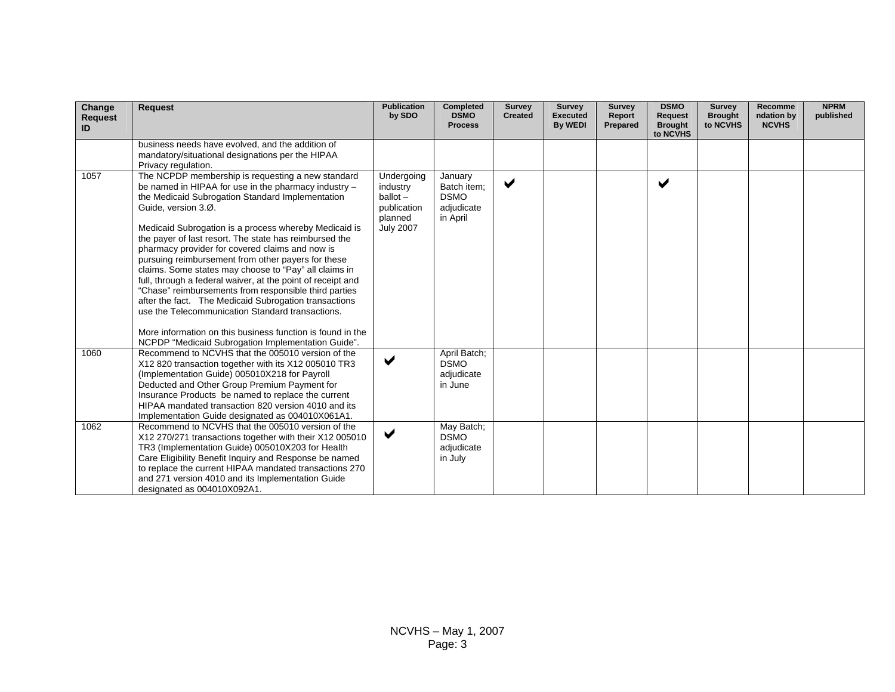| Change<br><b>Request</b><br>ID | <b>Request</b>                                                                                                                                                                                                                                                                                                                                                                                                                                                                                                                                                                                                                                                                                                                                                                                                                     | <b>Publication</b><br>by SDO                                                       | Completed<br><b>DSMO</b><br><b>Process</b>                      | <b>Survey</b><br><b>Created</b> | <b>Survey</b><br><b>Executed</b><br><b>By WEDI</b> | <b>Survey</b><br>Report<br>Prepared | <b>DSMO</b><br><b>Request</b><br><b>Brought</b><br>to NCVHS | <b>Survey</b><br><b>Brought</b><br>to NCVHS | Recomme<br>ndation by<br><b>NCVHS</b> | <b>NPRM</b><br>published |
|--------------------------------|------------------------------------------------------------------------------------------------------------------------------------------------------------------------------------------------------------------------------------------------------------------------------------------------------------------------------------------------------------------------------------------------------------------------------------------------------------------------------------------------------------------------------------------------------------------------------------------------------------------------------------------------------------------------------------------------------------------------------------------------------------------------------------------------------------------------------------|------------------------------------------------------------------------------------|-----------------------------------------------------------------|---------------------------------|----------------------------------------------------|-------------------------------------|-------------------------------------------------------------|---------------------------------------------|---------------------------------------|--------------------------|
|                                | business needs have evolved, and the addition of<br>mandatory/situational designations per the HIPAA<br>Privacy regulation.                                                                                                                                                                                                                                                                                                                                                                                                                                                                                                                                                                                                                                                                                                        |                                                                                    |                                                                 |                                 |                                                    |                                     |                                                             |                                             |                                       |                          |
| 1057                           | The NCPDP membership is requesting a new standard<br>be named in HIPAA for use in the pharmacy industry -<br>the Medicaid Subrogation Standard Implementation<br>Guide, version 3.Ø.<br>Medicaid Subrogation is a process whereby Medicaid is<br>the payer of last resort. The state has reimbursed the<br>pharmacy provider for covered claims and now is<br>pursuing reimbursement from other payers for these<br>claims. Some states may choose to "Pay" all claims in<br>full, through a federal waiver, at the point of receipt and<br>"Chase" reimbursements from responsible third parties<br>after the fact. The Medicaid Subrogation transactions<br>use the Telecommunication Standard transactions.<br>More information on this business function is found in the<br>NCPDP "Medicaid Subrogation Implementation Guide". | Undergoing<br>industry<br>$ballot -$<br>publication<br>planned<br><b>July 2007</b> | January<br>Batch item:<br><b>DSMO</b><br>adjudicate<br>in April | $\blacktriangledown$            |                                                    |                                     | $\blacktriangledown$                                        |                                             |                                       |                          |
| 1060                           | Recommend to NCVHS that the 005010 version of the<br>X12 820 transaction together with its X12 005010 TR3<br>(Implementation Guide) 005010X218 for Payroll<br>Deducted and Other Group Premium Payment for<br>Insurance Products be named to replace the current<br>HIPAA mandated transaction 820 version 4010 and its<br>Implementation Guide designated as 004010X061A1.                                                                                                                                                                                                                                                                                                                                                                                                                                                        | $\blacktriangledown$                                                               | April Batch;<br><b>DSMO</b><br>adjudicate<br>in June            |                                 |                                                    |                                     |                                                             |                                             |                                       |                          |
| 1062                           | Recommend to NCVHS that the 005010 version of the<br>X12 270/271 transactions together with their X12 005010<br>TR3 (Implementation Guide) 005010X203 for Health<br>Care Eligibility Benefit Inquiry and Response be named<br>to replace the current HIPAA mandated transactions 270<br>and 271 version 4010 and its Implementation Guide<br>designated as 004010X092A1.                                                                                                                                                                                                                                                                                                                                                                                                                                                           | $\blacktriangledown$                                                               | May Batch;<br><b>DSMO</b><br>adjudicate<br>in July              |                                 |                                                    |                                     |                                                             |                                             |                                       |                          |